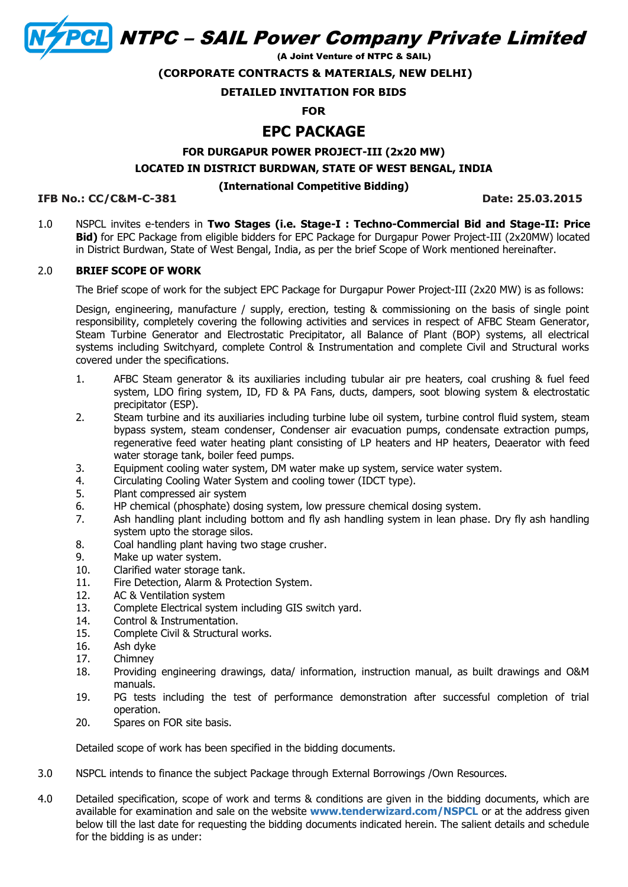**CL NTPC - SAIL Power Company Private Limited** 

(A Joint Venture of NTPC & SAIL)

**(CORPORATE CONTRACTS & MATERIALS, NEW DELHI)**

## **DETAILED INVITATION FOR BIDS**

#### **FOR**

# **EPC PACKAGE**

**FOR DURGAPUR POWER PROJECT-III (2x20 MW) LOCATED IN DISTRICT BURDWAN, STATE OF WEST BENGAL, INDIA**

#### **(International Competitive Bidding)**

#### **IFB No.: CC/C&M-C-381 Date: 25.03.2015**

1.0 NSPCL invites e-tenders in **Two Stages (i.e. Stage-I : Techno-Commercial Bid and Stage-II: Price Bid)** for EPC Package from eligible bidders for EPC Package for Durgapur Power Project-III (2x20MW) located in District Burdwan, State of West Bengal, India, as per the brief Scope of Work mentioned hereinafter.

# 2.0 **BRIEF SCOPE OF WORK**

The Brief scope of work for the subject EPC Package for Durgapur Power Project-III (2x20 MW) is as follows:

Design, engineering, manufacture / supply, erection, testing & commissioning on the basis of single point responsibility, completely covering the following activities and services in respect of AFBC Steam Generator, Steam Turbine Generator and Electrostatic Precipitator, all Balance of Plant (BOP) systems, all electrical systems including Switchyard, complete Control & Instrumentation and complete Civil and Structural works covered under the specifications.

- 1. AFBC Steam generator & its auxiliaries including tubular air pre heaters, coal crushing & fuel feed system, LDO firing system, ID, FD & PA Fans, ducts, dampers, soot blowing system & electrostatic precipitator (ESP).
- 2. Steam turbine and its auxiliaries including turbine lube oil system, turbine control fluid system, steam bypass system, steam condenser, Condenser air evacuation pumps, condensate extraction pumps, regenerative feed water heating plant consisting of LP heaters and HP heaters, Deaerator with feed water storage tank, boiler feed pumps.
- 3. Equipment cooling water system, DM water make up system, service water system.
- 4. Circulating Cooling Water System and cooling tower (IDCT type).
- 5. Plant compressed air system
- 6. HP chemical (phosphate) dosing system, low pressure chemical dosing system.
- 7. Ash handling plant including bottom and fly ash handling system in lean phase. Dry fly ash handling system upto the storage silos.
- 8. Coal handling plant having two stage crusher.
- 9. Make up water system.
- 10. Clarified water storage tank.
- 11. Fire Detection, Alarm & Protection System.
- 12. AC & Ventilation system
- 13. Complete Electrical system including GIS switch yard.
- 14. Control & Instrumentation.
- 15. Complete Civil & Structural works.
- 16. Ash dyke
- 17. Chimney
- 18. Providing engineering drawings, data/ information, instruction manual, as built drawings and O&M manuals.
- 19. PG tests including the test of performance demonstration after successful completion of trial operation.
- 20. Spares on FOR site basis.

Detailed scope of work has been specified in the bidding documents.

- 3.0 NSPCL intends to finance the subject Package through External Borrowings /Own Resources.
- 4.0 Detailed specification, scope of work and terms & conditions are given in the bidding documents, which are available for examination and sale on the website **[www.tenderwizard.com/NSPCL](http://www.tenderwizard.com/NSPCL)** or at the address given below till the last date for requesting the bidding documents indicated herein. The salient details and schedule for the bidding is as under: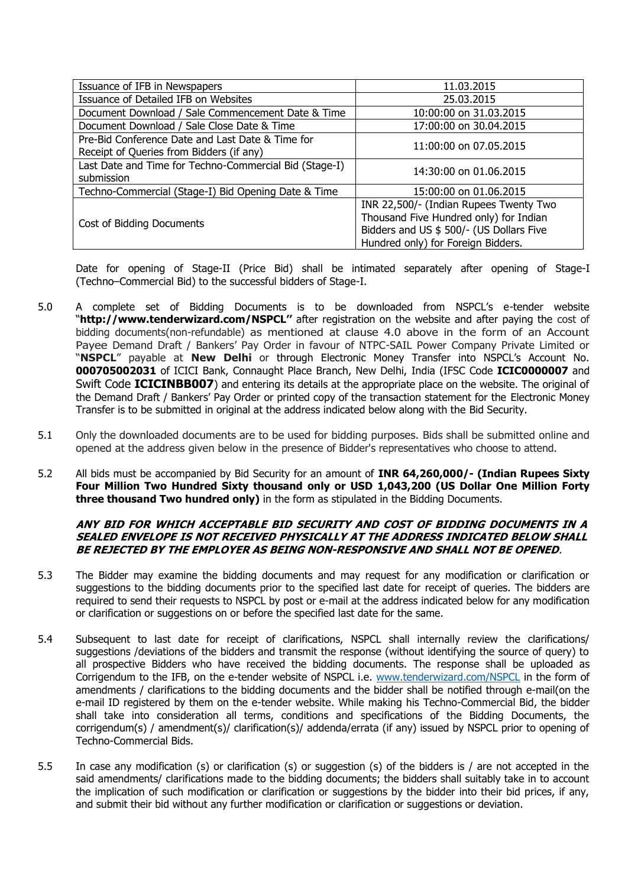| Issuance of IFB in Newspapers                                                                | 11.03.2015                                                                                                                                                         |
|----------------------------------------------------------------------------------------------|--------------------------------------------------------------------------------------------------------------------------------------------------------------------|
| Issuance of Detailed IFB on Websites                                                         | 25.03.2015                                                                                                                                                         |
| Document Download / Sale Commencement Date & Time                                            | 10:00:00 on 31.03.2015                                                                                                                                             |
| Document Download / Sale Close Date & Time                                                   | 17:00:00 on 30.04.2015                                                                                                                                             |
| Pre-Bid Conference Date and Last Date & Time for<br>Receipt of Queries from Bidders (if any) | 11:00:00 on 07.05.2015                                                                                                                                             |
| Last Date and Time for Techno-Commercial Bid (Stage-I)<br>submission                         | 14:30:00 on 01.06.2015                                                                                                                                             |
| Techno-Commercial (Stage-I) Bid Opening Date & Time                                          | 15:00:00 on 01.06.2015                                                                                                                                             |
| Cost of Bidding Documents                                                                    | INR 22,500/- (Indian Rupees Twenty Two<br>Thousand Five Hundred only) for Indian<br>Bidders and US \$ 500/- (US Dollars Five<br>Hundred only) for Foreign Bidders. |

Date for opening of Stage-II (Price Bid) shall be intimated separately after opening of Stage-I (Techno–Commercial Bid) to the successful bidders of Stage-I.

- 5.0 A complete set of Bidding Documents is to be downloaded from NSPCL's e-tender website "**[http://www.tenderwizard.com](http://www.tenderwizard.com/)/NSPCL''** after registration on the website and after paying the cost of bidding documents(non-refundable) as mentioned at clause 4.0 above in the form of an Account Payee Demand Draft / Bankers' Pay Order in favour of NTPC-SAIL Power Company Private Limited or "**NSPCL**" payable at **New Delhi** or through Electronic Money Transfer into NSPCL's Account No. **000705002031** of ICICI Bank, Connaught Place Branch, New Delhi, India (IFSC Code **ICIC0000007** and Swift Code **ICICINBB007**) and entering its details at the appropriate place on the website. The original of the Demand Draft / Bankers' Pay Order or printed copy of the transaction statement for the Electronic Money Transfer is to be submitted in original at the address indicated below along with the Bid Security.
- 5.1 Only the downloaded documents are to be used for bidding purposes. Bids shall be submitted online and opened at the address given below in the presence of Bidder's representatives who choose to attend.
- 5.2 All bids must be accompanied by Bid Security for an amount of **INR 64,260,000/- (Indian Rupees Sixty Four Million Two Hundred Sixty thousand only or USD 1,043,200 (US Dollar One Million Forty three thousand Two hundred only)** in the form as stipulated in the Bidding Documents.

#### **ANY BID FOR WHICH ACCEPTABLE BID SECURITY AND COST OF BIDDING DOCUMENTS IN A SEALED ENVELOPE IS NOT RECEIVED PHYSICALLY AT THE ADDRESS INDICATED BELOW SHALL BE REJECTED BY THE EMPLOYER AS BEING NON-RESPONSIVE AND SHALL NOT BE OPENED**.

- 5.3 The Bidder may examine the bidding documents and may request for any modification or clarification or suggestions to the bidding documents prior to the specified last date for receipt of queries. The bidders are required to send their requests to NSPCL by post or e-mail at the address indicated below for any modification or clarification or suggestions on or before the specified last date for the same.
- 5.4 Subsequent to last date for receipt of clarifications, NSPCL shall internally review the clarifications/ suggestions /deviations of the bidders and transmit the response (without identifying the source of query) to all prospective Bidders who have received the bidding documents. The response shall be uploaded as Corrigendum to the IFB, on the e-tender website of NSPCL i.e. [www.tenderwizard.com/NSPCL](http://www.tenderwizard.com/NSPCL) in the form of amendments / clarifications to the bidding documents and the bidder shall be notified through e-mail(on the e-mail ID registered by them on the e-tender website. While making his Techno-Commercial Bid, the bidder shall take into consideration all terms, conditions and specifications of the Bidding Documents, the corrigendum(s) / amendment(s)/ clarification(s)/ addenda/errata (if any) issued by NSPCL prior to opening of Techno-Commercial Bids.
- 5.5 In case any modification (s) or clarification (s) or suggestion (s) of the bidders is / are not accepted in the said amendments/ clarifications made to the bidding documents; the bidders shall suitably take in to account the implication of such modification or clarification or suggestions by the bidder into their bid prices, if any, and submit their bid without any further modification or clarification or suggestions or deviation.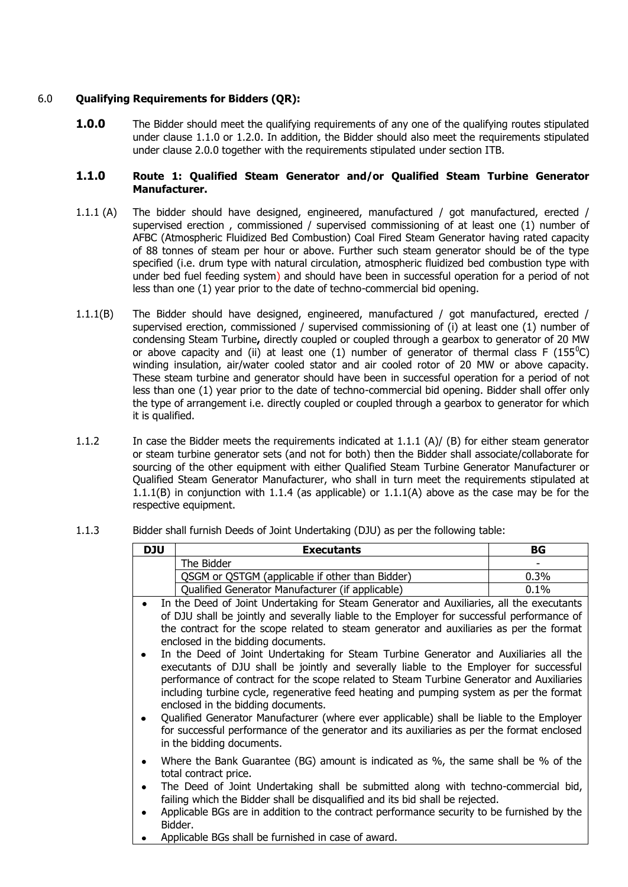# 6.0 **Qualifying Requirements for Bidders (QR):**

**1.0.0** The Bidder should meet the qualifying requirements of any one of the qualifying routes stipulated under clause 1.1.0 or 1.2.0. In addition, the Bidder should also meet the requirements stipulated under clause 2.0.0 together with the requirements stipulated under section ITB.

## **1.1.0 Route 1: Qualified Steam Generator and/or Qualified Steam Turbine Generator Manufacturer.**

- 1.1.1 (A) The bidder should have designed, engineered, manufactured / got manufactured, erected / supervised erection , commissioned / supervised commissioning of at least one (1) number of AFBC (Atmospheric Fluidized Bed Combustion) Coal Fired Steam Generator having rated capacity of 88 tonnes of steam per hour or above. Further such steam generator should be of the type specified (i.e. drum type with natural circulation, atmospheric fluidized bed combustion type with under bed fuel feeding system) and should have been in successful operation for a period of not less than one (1) year prior to the date of techno-commercial bid opening.
- 1.1.1(B) The Bidder should have designed, engineered, manufactured / got manufactured, erected / supervised erection, commissioned / supervised commissioning of (i) at least one (1) number of condensing Steam Turbine**,** directly coupled or coupled through a gearbox to generator of 20 MW or above capacity and (ii) at least one (1) number of generator of thermal class F (155<sup>o</sup>C) winding insulation, air/water cooled stator and air cooled rotor of 20 MW or above capacity. These steam turbine and generator should have been in successful operation for a period of not less than one (1) year prior to the date of techno-commercial bid opening. Bidder shall offer only the type of arrangement i.e. directly coupled or coupled through a gearbox to generator for which it is qualified.
- 1.1.2 In case the Bidder meets the requirements indicated at 1.1.1 (A)/ (B) for either steam generator or steam turbine generator sets (and not for both) then the Bidder shall associate/collaborate for sourcing of the other equipment with either Qualified Steam Turbine Generator Manufacturer or Qualified Steam Generator Manufacturer, who shall in turn meet the requirements stipulated at 1.1.1(B) in conjunction with 1.1.4 (as applicable) or  $1.1.1(A)$  above as the case may be for the respective equipment.

## 1.1.3 Bidder shall furnish Deeds of Joint Undertaking (DJU) as per the following table:

| <b>DJU</b>                                                                                                                                                                                                                                                                                                                                                                                                                                                                                                                                                                                                                                                                                                                                                                                                                                                                                                                                                    | <b>Executants</b>                                          | BG   |  |
|---------------------------------------------------------------------------------------------------------------------------------------------------------------------------------------------------------------------------------------------------------------------------------------------------------------------------------------------------------------------------------------------------------------------------------------------------------------------------------------------------------------------------------------------------------------------------------------------------------------------------------------------------------------------------------------------------------------------------------------------------------------------------------------------------------------------------------------------------------------------------------------------------------------------------------------------------------------|------------------------------------------------------------|------|--|
|                                                                                                                                                                                                                                                                                                                                                                                                                                                                                                                                                                                                                                                                                                                                                                                                                                                                                                                                                               | The Bidder                                                 |      |  |
|                                                                                                                                                                                                                                                                                                                                                                                                                                                                                                                                                                                                                                                                                                                                                                                                                                                                                                                                                               | QSGM or QSTGM (applicable if other than Bidder)<br>$0.3\%$ |      |  |
|                                                                                                                                                                                                                                                                                                                                                                                                                                                                                                                                                                                                                                                                                                                                                                                                                                                                                                                                                               | Qualified Generator Manufacturer (if applicable)           | 0.1% |  |
| In the Deed of Joint Undertaking for Steam Generator and Auxiliaries, all the executants<br>of DJU shall be jointly and severally liable to the Employer for successful performance of<br>the contract for the scope related to steam generator and auxiliaries as per the format<br>enclosed in the bidding documents.<br>In the Deed of Joint Undertaking for Steam Turbine Generator and Auxiliaries all the<br>executants of DJU shall be jointly and severally liable to the Employer for successful<br>performance of contract for the scope related to Steam Turbine Generator and Auxiliaries<br>including turbine cycle, regenerative feed heating and pumping system as per the format<br>enclosed in the bidding documents.<br>Qualified Generator Manufacturer (where ever applicable) shall be liable to the Employer<br>for successful performance of the generator and its auxiliaries as per the format enclosed<br>in the bidding documents. |                                                            |      |  |
| Where the Bank Guarantee (BG) amount is indicated as %, the same shall be % of the<br>$\bullet$<br>total contract price.<br>The Deed of Joint Undertaking shall be submitted along with techno-commercial bid,<br>failing which the Bidder shall be disqualified and its bid shall be rejected.<br>Applicable BGs are in addition to the contract performance security to be furnished by the<br>Bidder.<br>Applicable BGs shall be furnished in case of award.                                                                                                                                                                                                                                                                                                                                                                                                                                                                                               |                                                            |      |  |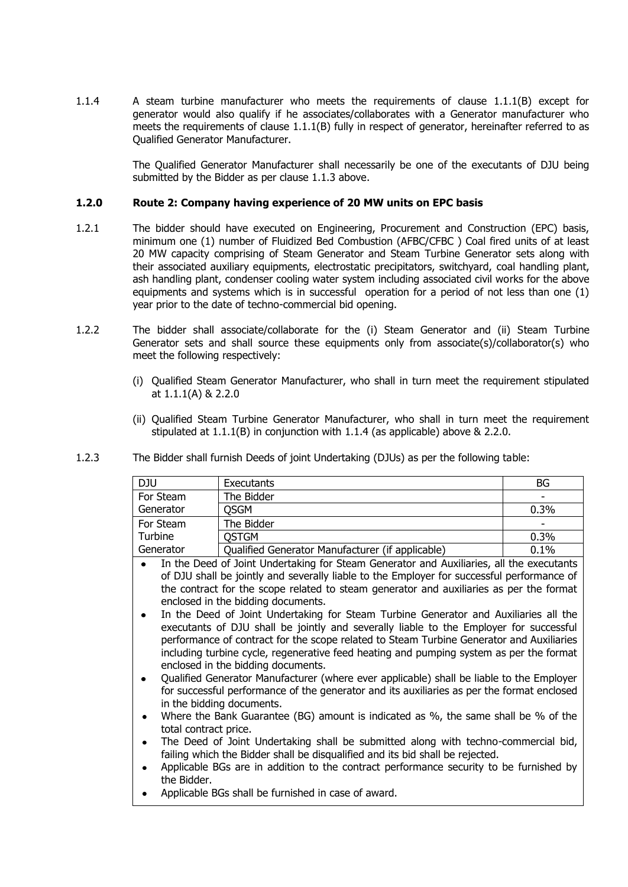1.1.4 A steam turbine manufacturer who meets the requirements of clause 1.1.1(B) except for generator would also qualify if he associates/collaborates with a Generator manufacturer who meets the requirements of clause 1.1.1(B) fully in respect of generator, hereinafter referred to as Qualified Generator Manufacturer.

> The Qualified Generator Manufacturer shall necessarily be one of the executants of DJU being submitted by the Bidder as per clause 1.1.3 above.

## **1.2.0 Route 2: Company having experience of 20 MW units on EPC basis**

- 1.2.1 The bidder should have executed on Engineering, Procurement and Construction (EPC) basis, minimum one (1) number of Fluidized Bed Combustion (AFBC/CFBC ) Coal fired units of at least 20 MW capacity comprising of Steam Generator and Steam Turbine Generator sets along with their associated auxiliary equipments, electrostatic precipitators, switchyard, coal handling plant, ash handling plant, condenser cooling water system including associated civil works for the above equipments and systems which is in successful operation for a period of not less than one (1) year prior to the date of techno-commercial bid opening.
- 1.2.2 The bidder shall associate/collaborate for the (i) Steam Generator and (ii) Steam Turbine Generator sets and shall source these equipments only from associate(s)/collaborator(s) who meet the following respectively:
	- (i) Qualified Steam Generator Manufacturer, who shall in turn meet the requirement stipulated at 1.1.1(A) & 2.2.0
	- (ii) Qualified Steam Turbine Generator Manufacturer, who shall in turn meet the requirement stipulated at 1.1.1(B) in conjunction with 1.1.4 (as applicable) above & 2.2.0.

| DJU       | Executants                                       | BG      |
|-----------|--------------------------------------------------|---------|
| For Steam | The Bidder                                       |         |
| Generator | <b>OSGM</b>                                      | $0.3\%$ |
| For Steam | The Bidder                                       |         |
| Turbine   | <b>OSTGM</b>                                     | 0.3%    |
| Generator | Qualified Generator Manufacturer (if applicable) | 0.1%    |

1.2.3 The Bidder shall furnish Deeds of joint Undertaking (DJUs) as per the following table:

- In the Deed of Joint Undertaking for Steam Generator and Auxiliaries, all the executants of DJU shall be jointly and severally liable to the Employer for successful performance of the contract for the scope related to steam generator and auxiliaries as per the format enclosed in the bidding documents.
- In the Deed of Joint Undertaking for Steam Turbine Generator and Auxiliaries all the executants of DJU shall be jointly and severally liable to the Employer for successful performance of contract for the scope related to Steam Turbine Generator and Auxiliaries including turbine cycle, regenerative feed heating and pumping system as per the format enclosed in the bidding documents.
- Qualified Generator Manufacturer (where ever applicable) shall be liable to the Employer for successful performance of the generator and its auxiliaries as per the format enclosed in the bidding documents.
- Where the Bank Guarantee (BG) amount is indicated as %, the same shall be % of the total contract price.
- The Deed of Joint Undertaking shall be submitted along with techno-commercial bid, failing which the Bidder shall be disqualified and its bid shall be rejected.
- Applicable BGs are in addition to the contract performance security to be furnished by  $\bullet$ the Bidder.
- Applicable BGs shall be furnished in case of award.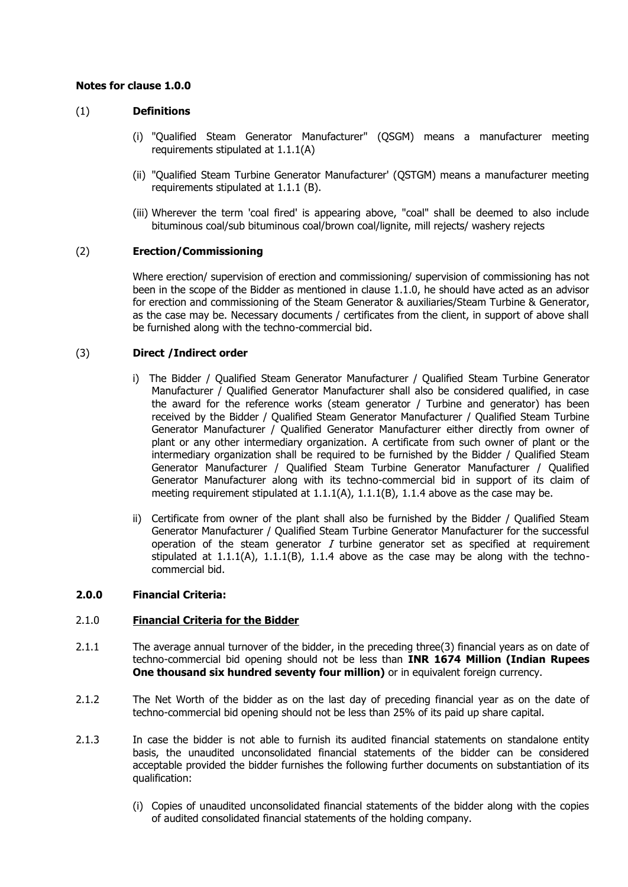## **Notes for clause 1.0.0**

# (1) **Definitions**

- (i) "Qualified Steam Generator Manufacturer" (QSGM) means a manufacturer meeting requirements stipulated at 1.1.1(A)
- (ii) "Qualified Steam Turbine Generator Manufacturer' (QSTGM) means a manufacturer meeting requirements stipulated at 1.1.1 (B).
- (iii) Wherever the term 'coal fired' is appearing above, "coal" shall be deemed to also include bituminous coal/sub bituminous coal/brown coal/lignite, mill rejects/ washery rejects

## (2) **Erection/Commissioning**

Where erection/ supervision of erection and commissioning/ supervision of commissioning has not been in the scope of the Bidder as mentioned in clause 1.1.0, he should have acted as an advisor for erection and commissioning of the Steam Generator & auxiliaries/Steam Turbine & Generator, as the case may be. Necessary documents / certificates from the client, in support of above shall be furnished along with the techno-commercial bid.

## (3) **Direct /Indirect order**

- i) The Bidder / Qualified Steam Generator Manufacturer / Qualified Steam Turbine Generator Manufacturer / Qualified Generator Manufacturer shall also be considered qualified, in case the award for the reference works (steam generator / Turbine and generator) has been received by the Bidder / Qualified Steam Generator Manufacturer / Qualified Steam Turbine Generator Manufacturer / Qualified Generator Manufacturer either directly from owner of plant or any other intermediary organization. A certificate from such owner of plant or the intermediary organization shall be required to be furnished by the Bidder / Qualified Steam Generator Manufacturer / Qualified Steam Turbine Generator Manufacturer / Qualified Generator Manufacturer along with its techno-commercial bid in support of its claim of meeting requirement stipulated at  $1.1.1(A)$ ,  $1.1.1(B)$ ,  $1.1.4$  above as the case may be.
- ii) Certificate from owner of the plant shall also be furnished by the Bidder / Qualified Steam Generator Manufacturer / Qualified Steam Turbine Generator Manufacturer for the successful operation of the steam generator  $I$  turbine generator set as specified at requirement stipulated at  $1.1.1(A)$ ,  $1.1.1(B)$ ,  $1.1.4$  above as the case may be along with the technocommercial bid.

## **2.0.0 Financial Criteria:**

## 2.1.0 **Financial Criteria for the Bidder**

- 2.1.1 The average annual turnover of the bidder, in the preceding three(3) financial years as on date of techno-commercial bid opening should not be less than **INR 1674 Million (Indian Rupees One thousand six hundred seventy four million)** or in equivalent foreign currency.
- 2.1.2 The Net Worth of the bidder as on the last day of preceding financial year as on the date of techno-commercial bid opening should not be less than 25% of its paid up share capital.
- 2.1.3 In case the bidder is not able to furnish its audited financial statements on standalone entity basis, the unaudited unconsolidated financial statements of the bidder can be considered acceptable provided the bidder furnishes the following further documents on substantiation of its qualification:
	- (i) Copies of unaudited unconsolidated financial statements of the bidder along with the copies of audited consolidated financial statements of the holding company.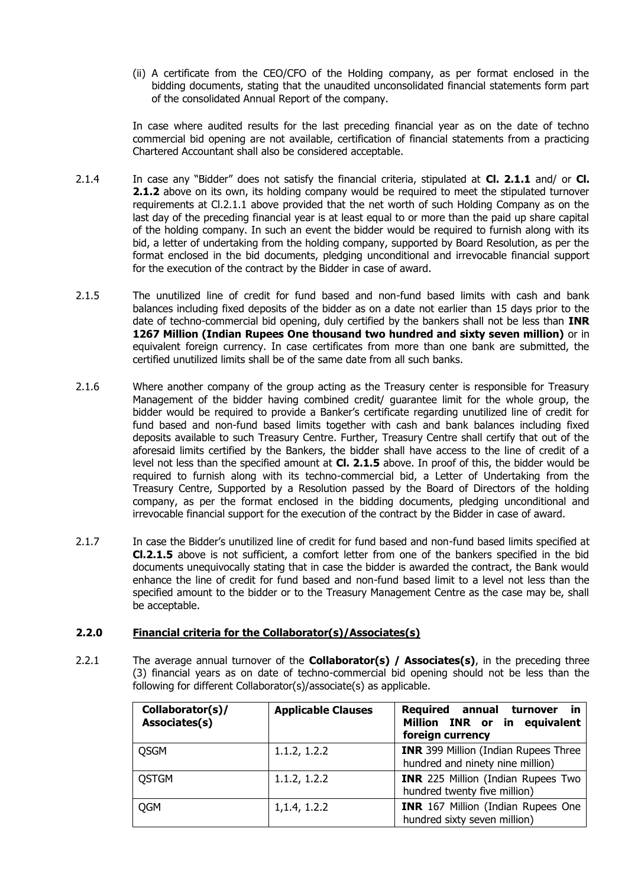(ii) A certificate from the CEO/CFO of the Holding company, as per format enclosed in the bidding documents, stating that the unaudited unconsolidated financial statements form part of the consolidated Annual Report of the company.

In case where audited results for the last preceding financial year as on the date of techno commercial bid opening are not available, certification of financial statements from a practicing Chartered Accountant shall also be considered acceptable.

- 2.1.4 In case any "Bidder" does not satisfy the financial criteria, stipulated at **Cl. 2.1.1** and/ or **Cl. 2.1.2** above on its own, its holding company would be required to meet the stipulated turnover requirements at Cl.2.1.1 above provided that the net worth of such Holding Company as on the last day of the preceding financial year is at least equal to or more than the paid up share capital of the holding company. In such an event the bidder would be required to furnish along with its bid, a letter of undertaking from the holding company, supported by Board Resolution, as per the format enclosed in the bid documents, pledging unconditional and irrevocable financial support for the execution of the contract by the Bidder in case of award.
- 2.1.5 The unutilized line of credit for fund based and non-fund based limits with cash and bank balances including fixed deposits of the bidder as on a date not earlier than 15 days prior to the date of techno-commercial bid opening, duly certified by the bankers shall not be less than **INR 1267 Million (Indian Rupees One thousand two hundred and sixty seven million)** or in equivalent foreign currency. In case certificates from more than one bank are submitted, the certified unutilized limits shall be of the same date from all such banks.
- 2.1.6 Where another company of the group acting as the Treasury center is responsible for Treasury Management of the bidder having combined credit/ guarantee limit for the whole group, the bidder would be required to provide a Banker's certificate regarding unutilized line of credit for fund based and non-fund based limits together with cash and bank balances including fixed deposits available to such Treasury Centre. Further, Treasury Centre shall certify that out of the aforesaid limits certified by the Bankers, the bidder shall have access to the line of credit of a level not less than the specified amount at **Cl. 2.1.5** above. In proof of this, the bidder would be required to furnish along with its techno-commercial bid, a Letter of Undertaking from the Treasury Centre, Supported by a Resolution passed by the Board of Directors of the holding company, as per the format enclosed in the bidding documents, pledging unconditional and irrevocable financial support for the execution of the contract by the Bidder in case of award.
- 2.1.7 In case the Bidder's unutilized line of credit for fund based and non-fund based limits specified at **Cl.2.1.5** above is not sufficient, a comfort letter from one of the bankers specified in the bid documents unequivocally stating that in case the bidder is awarded the contract, the Bank would enhance the line of credit for fund based and non-fund based limit to a level not less than the specified amount to the bidder or to the Treasury Management Centre as the case may be, shall be acceptable.

## **2.2.0 Financial criteria for the Collaborator(s)/Associates(s)**

2.2.1 The average annual turnover of the **Collaborator(s) / Associates(s)**, in the preceding three (3) financial years as on date of techno-commercial bid opening should not be less than the following for different Collaborator(s)/associate(s) as applicable.

| Collaborator(s)/<br>Associates(s) | <b>Applicable Clauses</b> | <b>Required annual</b><br>turnover<br><b>in</b><br>Million INR or in equivalent<br>foreign currency |
|-----------------------------------|---------------------------|-----------------------------------------------------------------------------------------------------|
| <b>QSGM</b>                       | 1.1.2, 1.2.2              | <b>INR</b> 399 Million (Indian Rupees Three<br>hundred and ninety nine million)                     |
| <b>QSTGM</b>                      | 1.1.2, 1.2.2              | <b>INR</b> 225 Million (Indian Rupees Two<br>hundred twenty five million)                           |
| QGM                               | 1, 1.4, 1.2.2             | <b>INR</b> 167 Million (Indian Rupees One<br>hundred sixty seven million)                           |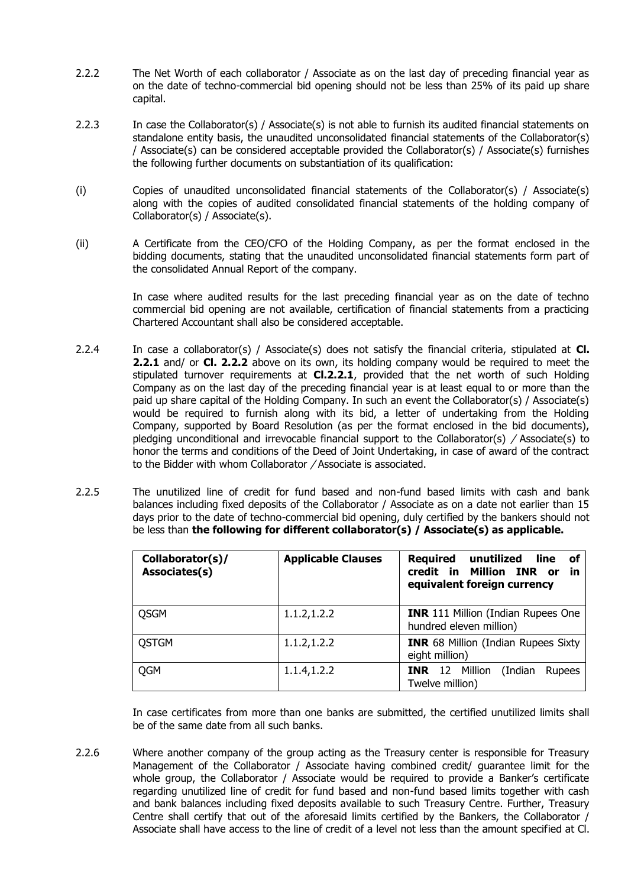- 2.2.2 The Net Worth of each collaborator / Associate as on the last day of preceding financial year as on the date of techno-commercial bid opening should not be less than 25% of its paid up share capital.
- 2.2.3 In case the Collaborator(s) / Associate(s) is not able to furnish its audited financial statements on standalone entity basis, the unaudited unconsolidated financial statements of the Collaborator(s) / Associate(s) can be considered acceptable provided the Collaborator(s) / Associate(s) furnishes the following further documents on substantiation of its qualification:
- (i) Copies of unaudited unconsolidated financial statements of the Collaborator(s) / Associate(s) along with the copies of audited consolidated financial statements of the holding company of Collaborator(s) / Associate(s).
- (ii) A Certificate from the CEO/CFO of the Holding Company, as per the format enclosed in the bidding documents, stating that the unaudited unconsolidated financial statements form part of the consolidated Annual Report of the company.

In case where audited results for the last preceding financial year as on the date of techno commercial bid opening are not available, certification of financial statements from a practicing Chartered Accountant shall also be considered acceptable.

- 2.2.4 In case a collaborator(s) / Associate(s) does not satisfy the financial criteria, stipulated at **Cl. 2.2.1** and/ or **Cl. 2.2.2** above on its own, its holding company would be required to meet the stipulated turnover requirements at **Cl.2.2.1**, provided that the net worth of such Holding Company as on the last day of the preceding financial year is at least equal to or more than the paid up share capital of the Holding Company. In such an event the Collaborator(s) / Associate(s) would be required to furnish along with its bid, a letter of undertaking from the Holding Company, supported by Board Resolution (as per the format enclosed in the bid documents), pledging unconditional and irrevocable financial support to the Collaborator(s)  $/$  Associate(s) to honor the terms and conditions of the Deed of Joint Undertaking, in case of award of the contract to the Bidder with whom Collaborator / Associate is associated.
- 2.2.5 The unutilized line of credit for fund based and non-fund based limits with cash and bank balances including fixed deposits of the Collaborator / Associate as on a date not earlier than 15 days prior to the date of techno-commercial bid opening, duly certified by the bankers should not be less than **the following for different collaborator(s) / Associate(s) as applicable.**

| Collaborator(s)/<br>Associates(s) | <b>Applicable Clauses</b> | Required<br>unutilized<br>line<br>οf<br>credit in<br>Million INR or<br>in<br>equivalent foreign currency |
|-----------------------------------|---------------------------|----------------------------------------------------------------------------------------------------------|
| <b>QSGM</b>                       | 1.1.2, 1.2.2              | <b>INR</b> 111 Million (Indian Rupees One<br>hundred eleven million)                                     |
| <b>QSTGM</b>                      | 1.1.2, 1.2.2              | <b>INR</b> 68 Million (Indian Rupees Sixty<br>eight million)                                             |
| <b>QGM</b>                        | 1.1.4,1.2.2               | Million<br><b>INR</b> 12<br>(Indian<br>Rupees<br>Twelve million)                                         |

In case certificates from more than one banks are submitted, the certified unutilized limits shall be of the same date from all such banks.

2.2.6 Where another company of the group acting as the Treasury center is responsible for Treasury Management of the Collaborator / Associate having combined credit/ guarantee limit for the whole group, the Collaborator / Associate would be required to provide a Banker's certificate regarding unutilized line of credit for fund based and non-fund based limits together with cash and bank balances including fixed deposits available to such Treasury Centre. Further, Treasury Centre shall certify that out of the aforesaid limits certified by the Bankers, the Collaborator / Associate shall have access to the line of credit of a level not less than the amount specified at Cl.